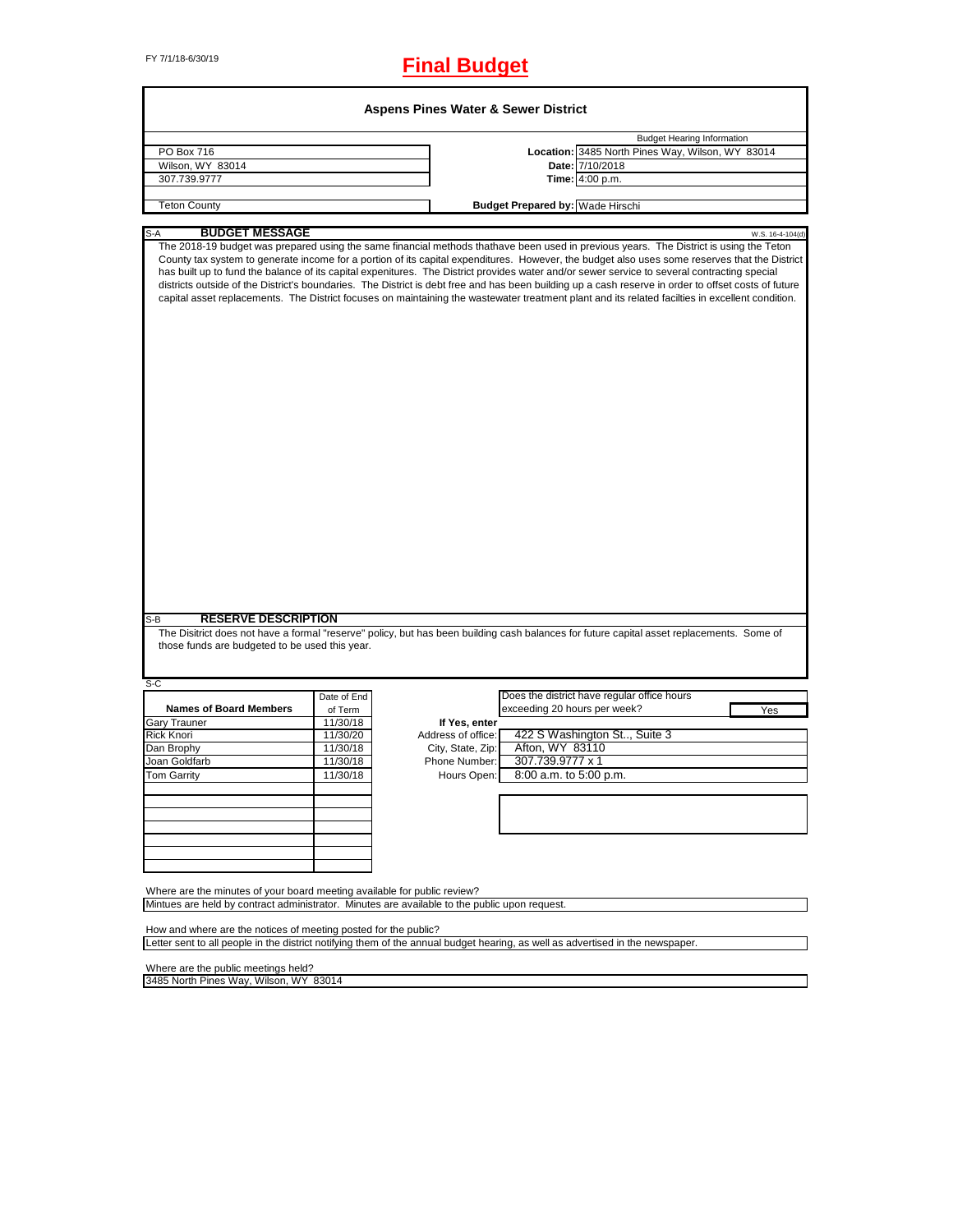Г

# FY 7/1/18-6/30/19 **Final Budget**

٦

| <b>Aspens Pines Water &amp; Sewer District</b>                                                                                                                                                    |             |                    |                                         |                                                                                                                                                                                                                                                                                                                                                                                                                                                                                                                                                                                                                                                                                                                                                        |  |
|---------------------------------------------------------------------------------------------------------------------------------------------------------------------------------------------------|-------------|--------------------|-----------------------------------------|--------------------------------------------------------------------------------------------------------------------------------------------------------------------------------------------------------------------------------------------------------------------------------------------------------------------------------------------------------------------------------------------------------------------------------------------------------------------------------------------------------------------------------------------------------------------------------------------------------------------------------------------------------------------------------------------------------------------------------------------------------|--|
|                                                                                                                                                                                                   |             |                    |                                         | <b>Budget Hearing Information</b>                                                                                                                                                                                                                                                                                                                                                                                                                                                                                                                                                                                                                                                                                                                      |  |
| PO Box 716                                                                                                                                                                                        |             |                    |                                         | Location: 3485 North Pines Way, Wilson, WY 83014                                                                                                                                                                                                                                                                                                                                                                                                                                                                                                                                                                                                                                                                                                       |  |
| Wilson, WY 83014                                                                                                                                                                                  |             |                    |                                         | Date: 7/10/2018                                                                                                                                                                                                                                                                                                                                                                                                                                                                                                                                                                                                                                                                                                                                        |  |
| 307.739.9777                                                                                                                                                                                      |             |                    |                                         | Time: 4:00 p.m.                                                                                                                                                                                                                                                                                                                                                                                                                                                                                                                                                                                                                                                                                                                                        |  |
| <b>Teton County</b>                                                                                                                                                                               |             |                    | <b>Budget Prepared by: Wade Hirschi</b> |                                                                                                                                                                                                                                                                                                                                                                                                                                                                                                                                                                                                                                                                                                                                                        |  |
|                                                                                                                                                                                                   |             |                    |                                         |                                                                                                                                                                                                                                                                                                                                                                                                                                                                                                                                                                                                                                                                                                                                                        |  |
| <b>BUDGET MESSAGE</b><br>S-A                                                                                                                                                                      |             |                    |                                         | W.S. 16-4-104(d)                                                                                                                                                                                                                                                                                                                                                                                                                                                                                                                                                                                                                                                                                                                                       |  |
| <b>RESERVE DESCRIPTION</b><br>S-B<br>those funds are budgeted to be used this year.                                                                                                               |             |                    |                                         | County tax system to generate income for a portion of its capital expenditures. However, the budget also uses some reserves that the District<br>has built up to fund the balance of its capital expenitures. The District provides water and/or sewer service to several contracting special<br>districts outside of the District's boundaries. The District is debt free and has been building up a cash reserve in order to offset costs of future<br>capital asset replacements. The District focuses on maintaining the wastewater treatment plant and its related facilties in excellent condition.<br>The Disitrict does not have a formal "reserve" policy, but has been building cash balances for future capital asset replacements. Some of |  |
| S-C                                                                                                                                                                                               |             |                    |                                         |                                                                                                                                                                                                                                                                                                                                                                                                                                                                                                                                                                                                                                                                                                                                                        |  |
|                                                                                                                                                                                                   | Date of End |                    |                                         | Does the district have regular office hours                                                                                                                                                                                                                                                                                                                                                                                                                                                                                                                                                                                                                                                                                                            |  |
| <b>Names of Board Members</b>                                                                                                                                                                     | of Term     |                    | exceeding 20 hours per week?            | Yes                                                                                                                                                                                                                                                                                                                                                                                                                                                                                                                                                                                                                                                                                                                                                    |  |
| <b>Gary Trauner</b>                                                                                                                                                                               | 11/30/18    | If Yes, enter      |                                         |                                                                                                                                                                                                                                                                                                                                                                                                                                                                                                                                                                                                                                                                                                                                                        |  |
| Rick Knori                                                                                                                                                                                        | 11/30/20    | Address of office: |                                         | 422 S Washington St, Suite 3                                                                                                                                                                                                                                                                                                                                                                                                                                                                                                                                                                                                                                                                                                                           |  |
| Dan Brophy                                                                                                                                                                                        | 11/30/18    | City, State, Zip:  | Afton, WY 83110                         |                                                                                                                                                                                                                                                                                                                                                                                                                                                                                                                                                                                                                                                                                                                                                        |  |
| Joan Goldfarb                                                                                                                                                                                     | 11/30/18    | Phone Number:      | 307.739.9777 x 1                        |                                                                                                                                                                                                                                                                                                                                                                                                                                                                                                                                                                                                                                                                                                                                                        |  |
| <b>Tom Garrity</b>                                                                                                                                                                                | 11/30/18    | Hours Open:        | 8:00 a.m. to 5:00 p.m.                  |                                                                                                                                                                                                                                                                                                                                                                                                                                                                                                                                                                                                                                                                                                                                                        |  |
|                                                                                                                                                                                                   |             |                    |                                         |                                                                                                                                                                                                                                                                                                                                                                                                                                                                                                                                                                                                                                                                                                                                                        |  |
|                                                                                                                                                                                                   |             |                    |                                         |                                                                                                                                                                                                                                                                                                                                                                                                                                                                                                                                                                                                                                                                                                                                                        |  |
| Where are the minutes of your board meeting available for public review?<br>Mintues are held by contract administrator. Minutes are available to the public upon request.                         |             |                    |                                         |                                                                                                                                                                                                                                                                                                                                                                                                                                                                                                                                                                                                                                                                                                                                                        |  |
|                                                                                                                                                                                                   |             |                    |                                         |                                                                                                                                                                                                                                                                                                                                                                                                                                                                                                                                                                                                                                                                                                                                                        |  |
| How and where are the notices of meeting posted for the public?<br>Letter sent to all people in the district notifying them of the annual budget hearing, as well as advertised in the newspaper. |             |                    |                                         |                                                                                                                                                                                                                                                                                                                                                                                                                                                                                                                                                                                                                                                                                                                                                        |  |
| Where are the public meetings held?                                                                                                                                                               |             |                    |                                         |                                                                                                                                                                                                                                                                                                                                                                                                                                                                                                                                                                                                                                                                                                                                                        |  |
| 3485 North Pines Way, Wilson, WY 83014                                                                                                                                                            |             |                    |                                         |                                                                                                                                                                                                                                                                                                                                                                                                                                                                                                                                                                                                                                                                                                                                                        |  |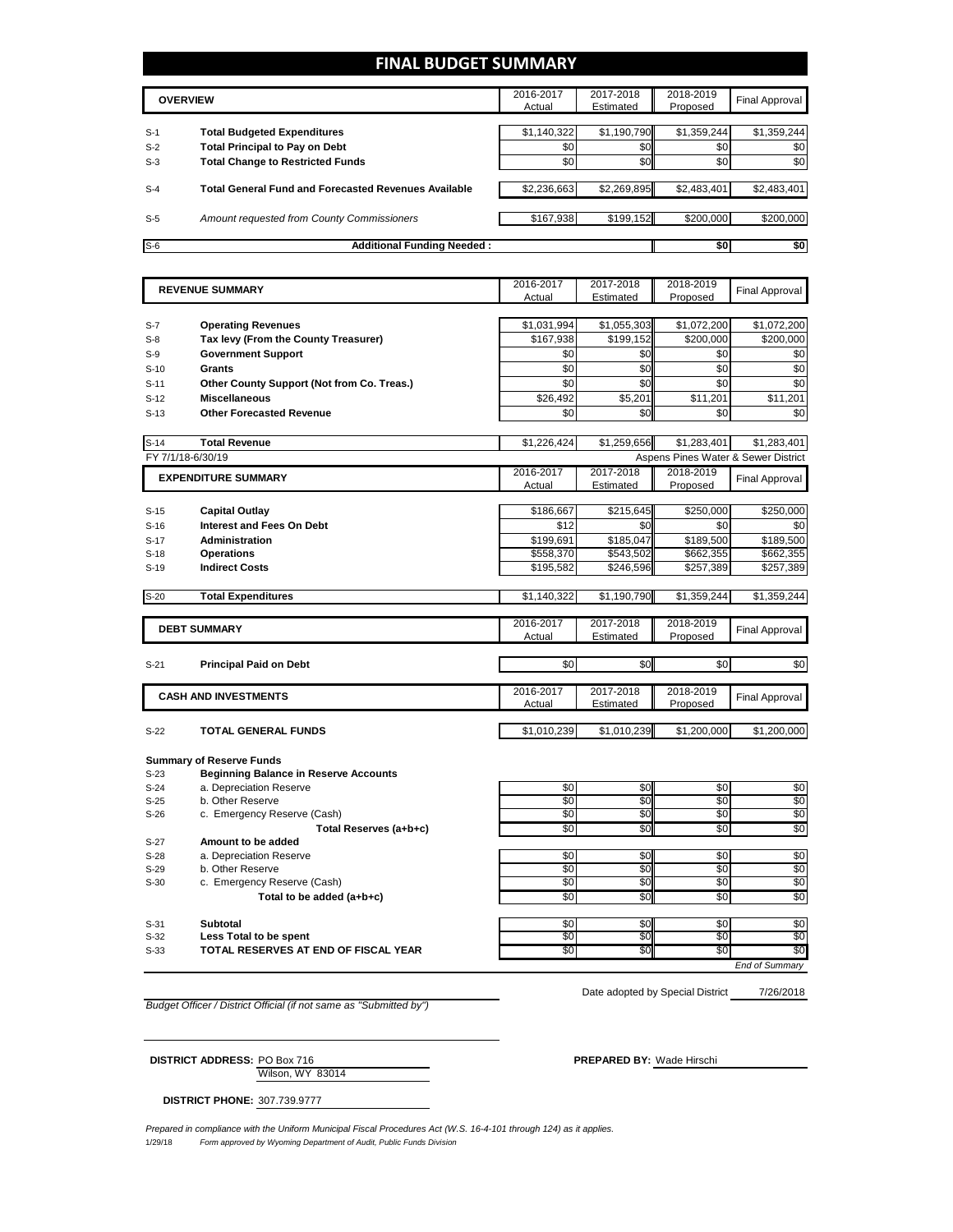# **FINAL BUDGET SUMMARY**

|       | <b>OVERVIEW</b>                                             | 2016-2017<br>Actual | 2017-2018<br>Estimated | 2018-2019<br>Proposed | Final Approval |
|-------|-------------------------------------------------------------|---------------------|------------------------|-----------------------|----------------|
| $S-1$ | <b>Total Budgeted Expenditures</b>                          | \$1,140,322         | \$1,190,790            | \$1,359,244           | \$1,359,244    |
| $S-2$ | <b>Total Principal to Pay on Debt</b>                       | \$0                 | \$0                    | \$0                   | \$0            |
| $S-3$ | <b>Total Change to Restricted Funds</b>                     | \$0                 | \$0 <sub>1</sub>       | \$0                   | \$0            |
| $S-4$ | <b>Total General Fund and Forecasted Revenues Available</b> | \$2,236,663         | \$2,269,895            | \$2,483,401           | \$2,483,401    |
| $S-5$ | Amount requested from County Commissioners                  | \$167,938           | \$199,152              | \$200,000             | \$200,000      |
| $S-6$ | <b>Additional Funding Needed:</b>                           |                     |                        | \$0                   | \$0            |

|        | <b>REVENUE SUMMARY</b>                       | 2016-2017       | 2017-2018   | 2018-2019   | <b>Final Approval</b>               |
|--------|----------------------------------------------|-----------------|-------------|-------------|-------------------------------------|
|        |                                              | Actual          | Estimated   | Proposed    |                                     |
|        |                                              |                 |             |             |                                     |
| S-7    | <b>Operating Revenues</b>                    | \$1,031,994     | \$1,055,303 | \$1,072,200 | \$1,072,200                         |
| $S-8$  | Tax levy (From the County Treasurer)         | \$167,938       | \$199,152   | \$200,000   | \$200,000                           |
| $S-9$  | <b>Government Support</b>                    | \$0             | \$0         | \$0         | \$0                                 |
| $S-10$ | <b>Grants</b>                                | \$0             | \$0         | \$0         | \$0                                 |
| $S-11$ | Other County Support (Not from Co. Treas.)   | \$0             | \$0         | \$0         | \$0                                 |
| $S-12$ | <b>Miscellaneous</b>                         | \$26,492        | \$5,201     | \$11,201    | \$11,201                            |
| $S-13$ | <b>Other Forecasted Revenue</b>              | \$0             | \$0         | \$0         | \$0                                 |
|        |                                              |                 |             |             |                                     |
| $S-14$ | <b>Total Revenue</b>                         | \$1,226,424     | \$1,259,656 | \$1,283,401 | \$1,283,401                         |
|        | FY 7/1/18-6/30/19                            |                 |             |             | Aspens Pines Water & Sewer District |
|        | <b>EXPENDITURE SUMMARY</b>                   | 2016-2017       | 2017-2018   | 2018-2019   | <b>Final Approval</b>               |
|        |                                              | Actual          | Estimated   | Proposed    |                                     |
|        |                                              |                 |             |             |                                     |
| $S-15$ | <b>Capital Outlay</b>                        | \$186,667       | \$215,645   | \$250,000   | \$250,000                           |
| $S-16$ | <b>Interest and Fees On Debt</b>             | \$12            | \$0         | \$0         | \$0                                 |
| $S-17$ | <b>Administration</b>                        | \$199,691       | \$185,047   | \$189,500   | \$189,500                           |
| $S-18$ | <b>Operations</b>                            | \$558,370       | \$543,502   | \$662,355   | \$662,355                           |
| $S-19$ | <b>Indirect Costs</b>                        | \$195,582       | \$246,596   | \$257,389   | \$257,389                           |
|        |                                              |                 |             |             |                                     |
| $S-20$ | <b>Total Expenditures</b>                    | \$1,140,322     | \$1,190,790 | \$1,359,244 | \$1,359,244                         |
|        |                                              |                 |             |             |                                     |
|        | <b>DEBT SUMMARY</b>                          | 2016-2017       | 2017-2018   | 2018-2019   | Final Approval                      |
|        |                                              | Actual          | Estimated   | Proposed    |                                     |
| $S-21$ | <b>Principal Paid on Debt</b>                | \$0             | \$0         | \$0         | \$0                                 |
|        |                                              |                 |             |             |                                     |
|        |                                              | 2016-2017       | 2017-2018   | 2018-2019   |                                     |
|        | <b>CASH AND INVESTMENTS</b>                  | Actual          | Estimated   | Proposed    | <b>Final Approval</b>               |
|        |                                              |                 |             |             |                                     |
| $S-22$ | <b>TOTAL GENERAL FUNDS</b>                   | \$1,010,239     | \$1,010,239 | \$1,200,000 | \$1,200,000                         |
|        |                                              |                 |             |             |                                     |
|        | <b>Summary of Reserve Funds</b>              |                 |             |             |                                     |
| $S-23$ | <b>Beginning Balance in Reserve Accounts</b> |                 |             |             |                                     |
| $S-24$ | a. Depreciation Reserve                      | \$0             | \$0         | \$0         | \$0                                 |
| $S-25$ | b. Other Reserve                             | $\overline{50}$ | \$0         | \$0         | \$0                                 |
| $S-26$ | c. Emergency Reserve (Cash)                  | \$0             | \$0         | \$0         | \$0                                 |
|        | Total Reserves (a+b+c)                       | \$0             | \$0         | \$0         | \$0                                 |
| $S-27$ | Amount to be added                           |                 |             |             |                                     |
| $S-28$ | a. Depreciation Reserve                      | \$0             | \$0         | \$0         | \$0                                 |
| $S-29$ | b. Other Reserve                             | \$0             | \$0         | \$0         | \$0                                 |
| $S-30$ | c. Emergency Reserve (Cash)                  | \$0             | \$OI        | \$0         | \$0                                 |
|        | Total to be added (a+b+c)                    | \$0             | \$0         | \$0         | \$0                                 |

S-31 **Subtotal** | \$0 | \$0 | \$0 | \$0 S-32 **Less Total to be spent** \$0 \$0 \$0 \$0 TOTAL RESERVES AT END OF FISCAL YEAR

Date adopted by Special District

*End of Summary* 7/26/2018

*Budget Officer / District Official (if not same as "Submitted by")*

Wilson, WY 83014 **DISTRICT ADDRESS:** PO Box 716 **PREPARED BY:** Wade Hirschi

**DISTRICT PHONE:** 307.739.9777

1/29/18 *Form approved by Wyoming Department of Audit, Public Funds Division Prepared in compliance with the Uniform Municipal Fiscal Procedures Act (W.S. 16-4-101 through 124) as it applies.*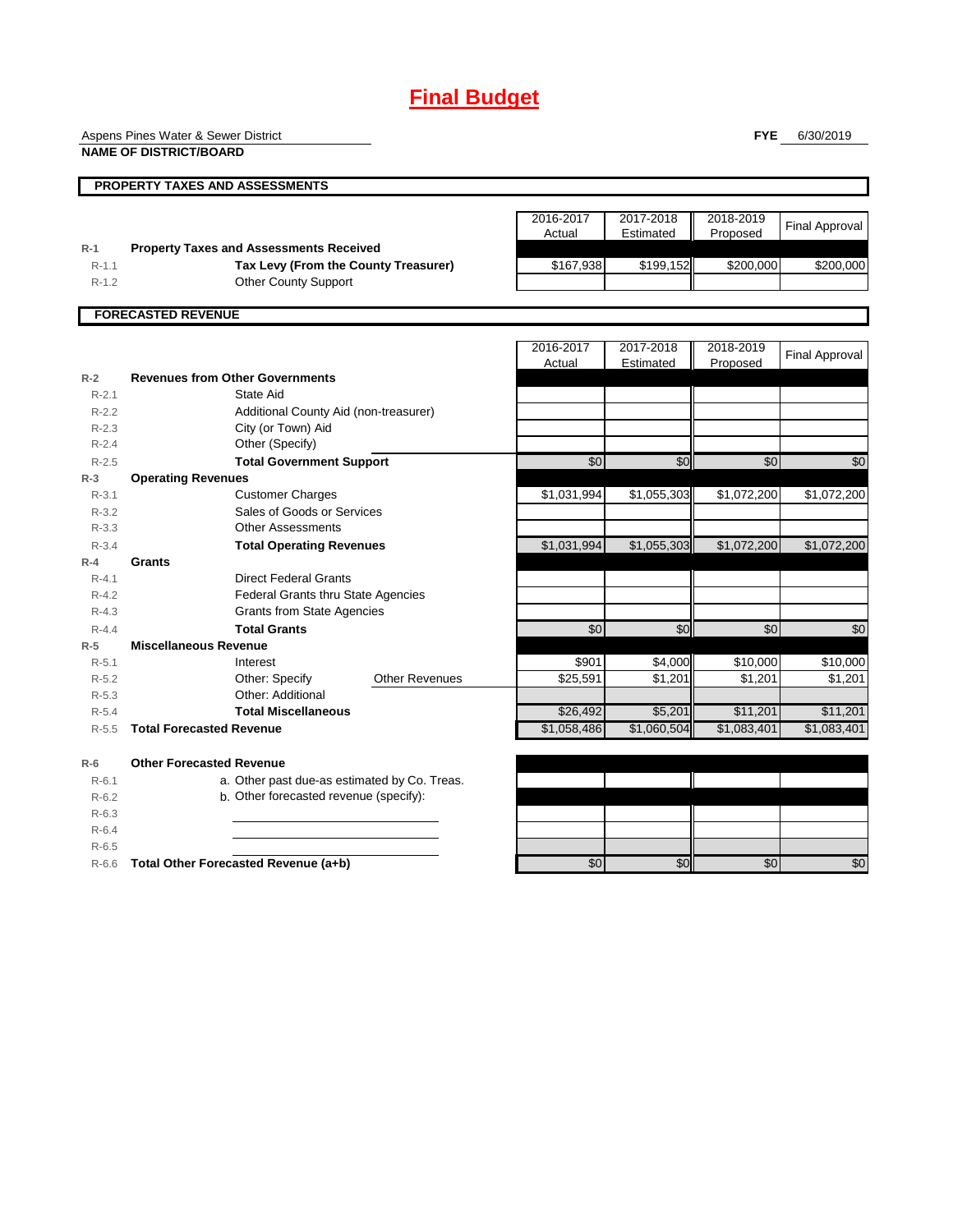# **Final Budget**

Aspens Pines Water & Sewer District

**NAME OF DISTRICT/BOARD**

**FYE** 6/30/2019

|           |                                                |                       | 2016-2017<br>Actual | 2017-2018<br>Estimated | 2018-2019<br>Proposed  | <b>Final Approval</b>  |
|-----------|------------------------------------------------|-----------------------|---------------------|------------------------|------------------------|------------------------|
| $R-1$     | <b>Property Taxes and Assessments Received</b> |                       |                     |                        |                        |                        |
| $R - 1.1$ | Tax Levy (From the County Treasurer)           |                       | \$167,938           | \$199,152              | \$200,000              | \$200,000              |
| $R-1.2$   | <b>Other County Support</b>                    |                       |                     |                        |                        |                        |
|           | <b>FORECASTED REVENUE</b>                      |                       |                     |                        |                        |                        |
|           |                                                |                       | 2016-2017           | 2017-2018              | 2018-2019              | <b>Final Approval</b>  |
| $R-2$     | <b>Revenues from Other Governments</b>         |                       | Actual              | Estimated              | Proposed               |                        |
| $R - 2.1$ | State Aid                                      |                       |                     |                        |                        |                        |
| $R - 2.2$ | Additional County Aid (non-treasurer)          |                       |                     |                        |                        |                        |
| $R - 2.3$ | City (or Town) Aid                             |                       |                     |                        |                        |                        |
| $R - 2.4$ | Other (Specify)                                |                       |                     |                        |                        |                        |
| $R - 2.5$ | <b>Total Government Support</b>                |                       | \$0                 | \$0                    | \$0                    | \$0                    |
| $R-3$     | <b>Operating Revenues</b>                      |                       |                     |                        |                        |                        |
| $R - 3.1$ | <b>Customer Charges</b>                        |                       | \$1,031,994         | \$1,055,303            | \$1,072,200            | \$1,072,200            |
| $R - 3.2$ | Sales of Goods or Services                     |                       |                     |                        |                        |                        |
| $R - 3.3$ | <b>Other Assessments</b>                       |                       |                     |                        |                        |                        |
| $R - 3.4$ | <b>Total Operating Revenues</b>                |                       | \$1,031,994         | \$1,055,303            | \$1,072,200            | \$1,072,200            |
| $R - 4$   | <b>Grants</b>                                  |                       |                     |                        |                        |                        |
| $R - 4.1$ | <b>Direct Federal Grants</b>                   |                       |                     |                        |                        |                        |
| $R - 4.2$ | Federal Grants thru State Agencies             |                       |                     |                        |                        |                        |
| $R - 4.3$ | <b>Grants from State Agencies</b>              |                       |                     |                        |                        |                        |
| $R - 4.4$ | <b>Total Grants</b>                            |                       | \$0                 | \$0                    | \$0                    | \$0                    |
| $R-5$     | <b>Miscellaneous Revenue</b>                   |                       |                     |                        |                        |                        |
| $R - 5.1$ | Interest                                       |                       | \$901               | \$4,000                | \$10,000               | \$10,000               |
| $R-5.2$   | Other: Specify                                 | <b>Other Revenues</b> | \$25,591            | \$1,201                | \$1,201                | \$1,201                |
| $R - 5.3$ | Other: Additional                              |                       |                     |                        |                        |                        |
| $R - 5.4$ | <b>Total Miscellaneous</b>                     |                       | \$26,492            | \$5.201                | \$11,201               | \$11,201               |
| $R - 5.5$ | <b>Total Forecasted Revenue</b>                |                       | \$1,058,486         | \$1,060,504            | $\overline{1,083,401}$ | $\overline{1,083,401}$ |

| $R-6.1$   | a. Other past due-as estimated by Co. Treas. |     |     |     |     |
|-----------|----------------------------------------------|-----|-----|-----|-----|
| $R-6.2$   | b. Other forecasted revenue (specify):       |     |     |     |     |
| $R - 6.3$ |                                              |     |     |     |     |
| $R-6.4$   |                                              |     |     |     |     |
| $R-6.5$   |                                              |     |     |     |     |
| $R-6.6$   | Total Other Forecasted Revenue (a+b)         | -50 | \$0 | \$0 | \$0 |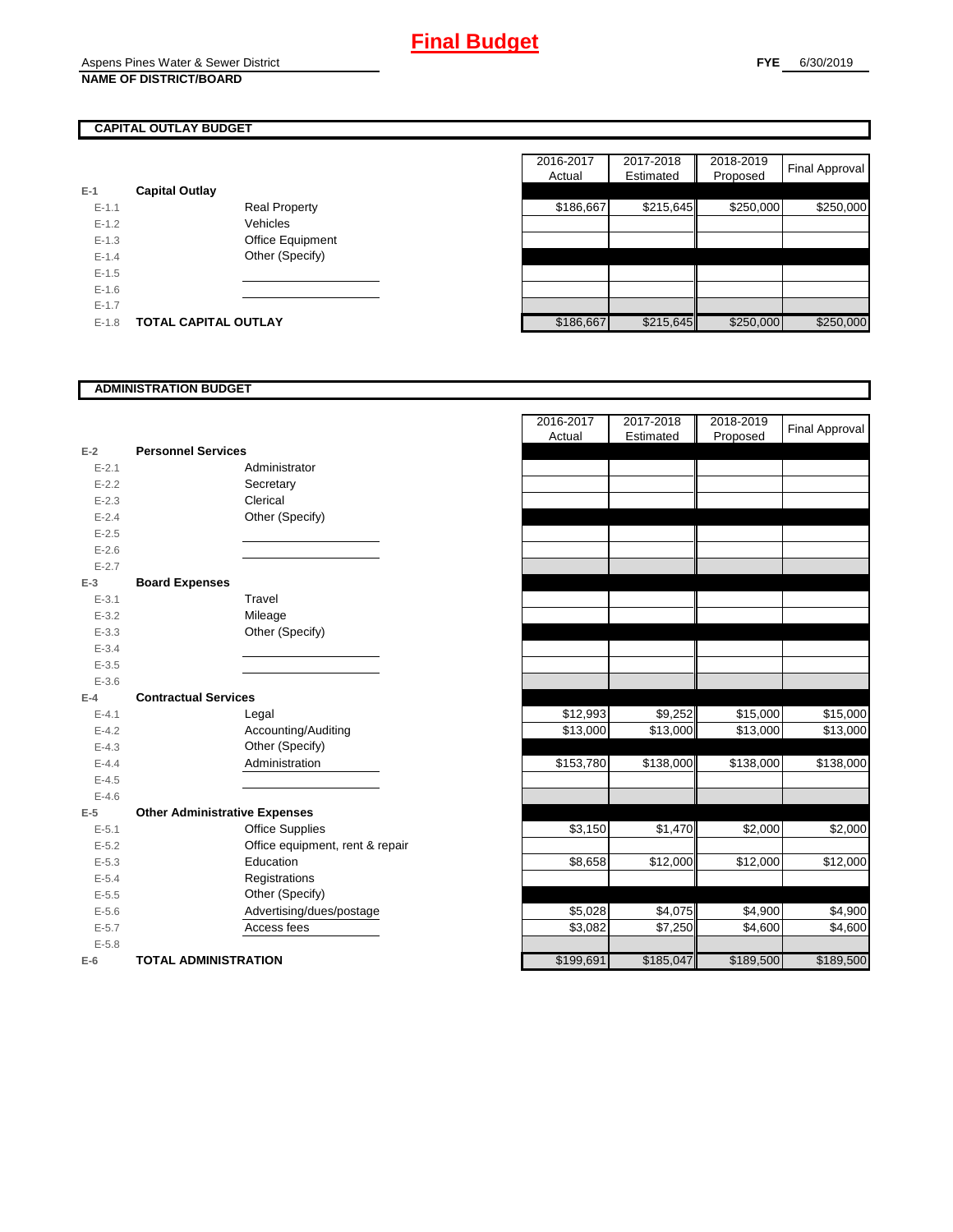# **CAPITAL OUTLAY BUDGET**

| E-1       | <b>Capital Outlay</b> |                         |
|-----------|-----------------------|-------------------------|
| $E - 1.1$ |                       | Real Property           |
| $F-12$    |                       | Vehicles                |
| $E - 1.3$ |                       | <b>Office Equipment</b> |
| $F-14$    |                       | Other (Specify)         |
| $E - 1.5$ |                       |                         |
| $E - 1.6$ |                       |                         |
| $E - 1.7$ |                       |                         |
| $E-1.8$   | TOTAL CAPITAL OUTLAY  |                         |

|           |                             |                      |  | 2016-2017 | 2017-2018 | 2018-2019 |                |
|-----------|-----------------------------|----------------------|--|-----------|-----------|-----------|----------------|
|           |                             |                      |  | Actual    | Estimated | Proposed  | Final Approval |
|           | <b>Capital Outlay</b>       |                      |  |           |           |           |                |
| $E-1.1$   |                             | <b>Real Property</b> |  | \$186,667 | \$215,645 | \$250,000 | \$250,000      |
| $E-1.2$   |                             | Vehicles             |  |           |           |           |                |
| $E-1.3$   |                             | Office Equipment     |  |           |           |           |                |
| $E - 1.4$ |                             | Other (Specify)      |  |           |           |           |                |
| $E-1.5$   |                             |                      |  |           |           |           |                |
| $E-1.6$   |                             |                      |  |           |           |           |                |
| $E - 1.7$ |                             |                      |  |           |           |           |                |
| $E-1.8$   | <b>TOTAL CAPITAL OUTLAY</b> |                      |  | \$186,667 | \$215,645 | \$250,000 | \$250,000      |

## **ADMINISTRATION BUDGET**

| $E-2$     | <b>Personnel Services</b>            |  |
|-----------|--------------------------------------|--|
| $E - 2.1$ | Administrator                        |  |
| $E - 2.2$ | Secretary                            |  |
| $E - 2.3$ | Clerical                             |  |
| $E - 2.4$ | Other (Specify)                      |  |
| $E - 2.5$ |                                      |  |
| $E - 2.6$ |                                      |  |
| $E - 2.7$ |                                      |  |
| $E-3$     | <b>Board Expenses</b>                |  |
| $E - 3.1$ | Travel                               |  |
| $E - 3.2$ | Mileage                              |  |
| $E - 3.3$ | Other (Specify)                      |  |
| $E - 3.4$ |                                      |  |
| $E - 3.5$ |                                      |  |
| $E - 3.6$ |                                      |  |
| $E-4$     | <b>Contractual Services</b>          |  |
| $E - 4.1$ | Legal                                |  |
| $E-4.2$   | Accounting/Auditing                  |  |
| $E - 4.3$ | Other (Specify)                      |  |
| $E-4.4$   | Administration                       |  |
| $E - 4.5$ |                                      |  |
| $E - 4.6$ |                                      |  |
| $E-5$     | <b>Other Administrative Expenses</b> |  |
| $E - 5.1$ | <b>Office Supplies</b>               |  |
| $E - 5.2$ | Office equipment, rent & repair      |  |
| $E - 5.3$ | Education                            |  |
| $E - 5.4$ | Registrations                        |  |
| $E - 5.5$ | Other (Specify)                      |  |
| $E - 5.6$ | Advertising/dues/postage             |  |
| $E - 5.7$ | Access fees                          |  |
| $E - 5.8$ |                                      |  |
| E-6       | <b>TOTAL ADMINISTRATION</b>          |  |

|                          |                                      |                                 | 2016-2017 | 2017-2018 | 2018-2019 | <b>Final Approval</b> |
|--------------------------|--------------------------------------|---------------------------------|-----------|-----------|-----------|-----------------------|
| Ż                        | <b>Personnel Services</b>            |                                 | Actual    | Estimated | Proposed  |                       |
| $E - 2.1$                | Administrator                        |                                 |           |           |           |                       |
| $E - 2.2$                | Secretary                            |                                 |           |           |           |                       |
| $E - 2.3$                | Clerical                             |                                 |           |           |           |                       |
| $E - 2.4$                | Other (Specify)                      |                                 |           |           |           |                       |
| $E - 2.5$                |                                      |                                 |           |           |           |                       |
| $E - 2.6$                |                                      |                                 |           |           |           |                       |
| $E - 2.7$                |                                      |                                 |           |           |           |                       |
| $\overline{\phantom{a}}$ | <b>Board Expenses</b>                |                                 |           |           |           |                       |
| $E - 3.1$                | Travel                               |                                 |           |           |           |                       |
| $E - 3.2$                | Mileage                              |                                 |           |           |           |                       |
| $E - 3.3$                | Other (Specify)                      |                                 |           |           |           |                       |
| $E - 3.4$                |                                      |                                 |           |           |           |                       |
| $E - 3.5$                |                                      |                                 |           |           |           |                       |
| $E - 3.6$                |                                      |                                 |           |           |           |                       |
| Ļ.                       | <b>Contractual Services</b>          |                                 |           |           |           |                       |
| $E - 4.1$                | Legal                                |                                 | \$12,993  | \$9,252   | \$15,000  | \$15,000              |
| $E - 4.2$                |                                      | Accounting/Auditing             | \$13,000  | \$13,000  | \$13,000  | \$13,000              |
| $E - 4.3$                | Other (Specify)                      |                                 |           |           |           |                       |
| $E - 4.4$                | Administration                       |                                 | \$153,780 | \$138,000 | \$138,000 | \$138,000             |
| $E - 4.5$                |                                      |                                 |           |           |           |                       |
| $E - 4.6$                |                                      |                                 |           |           |           |                       |
| $\overline{\phantom{a}}$ | <b>Other Administrative Expenses</b> |                                 |           |           |           |                       |
| $E - 5.1$                | <b>Office Supplies</b>               |                                 | \$3,150   | \$1,470   | \$2,000   | \$2,000               |
| $E - 5.2$                |                                      | Office equipment, rent & repair |           |           |           |                       |
| $E - 5.3$                | Education                            |                                 | \$8,658   | \$12,000  | \$12,000  | \$12,000              |
| $E - 5.4$                | Registrations                        |                                 |           |           |           |                       |
| $E - 5.5$                | Other (Specify)                      |                                 |           |           |           |                       |
| $E - 5.6$                |                                      | Advertising/dues/postage        | \$5,028   | \$4,075   | \$4,900   | \$4,900               |
| $E - 5.7$                | Access fees                          |                                 | \$3,082   | \$7,250   | \$4,600   | \$4,600               |
| $E - 5.8$                |                                      |                                 |           |           |           |                       |
| ì                        | <b>TOTAL ADMINISTRATION</b>          |                                 | \$199,691 | \$185,047 | \$189,500 | \$189,500             |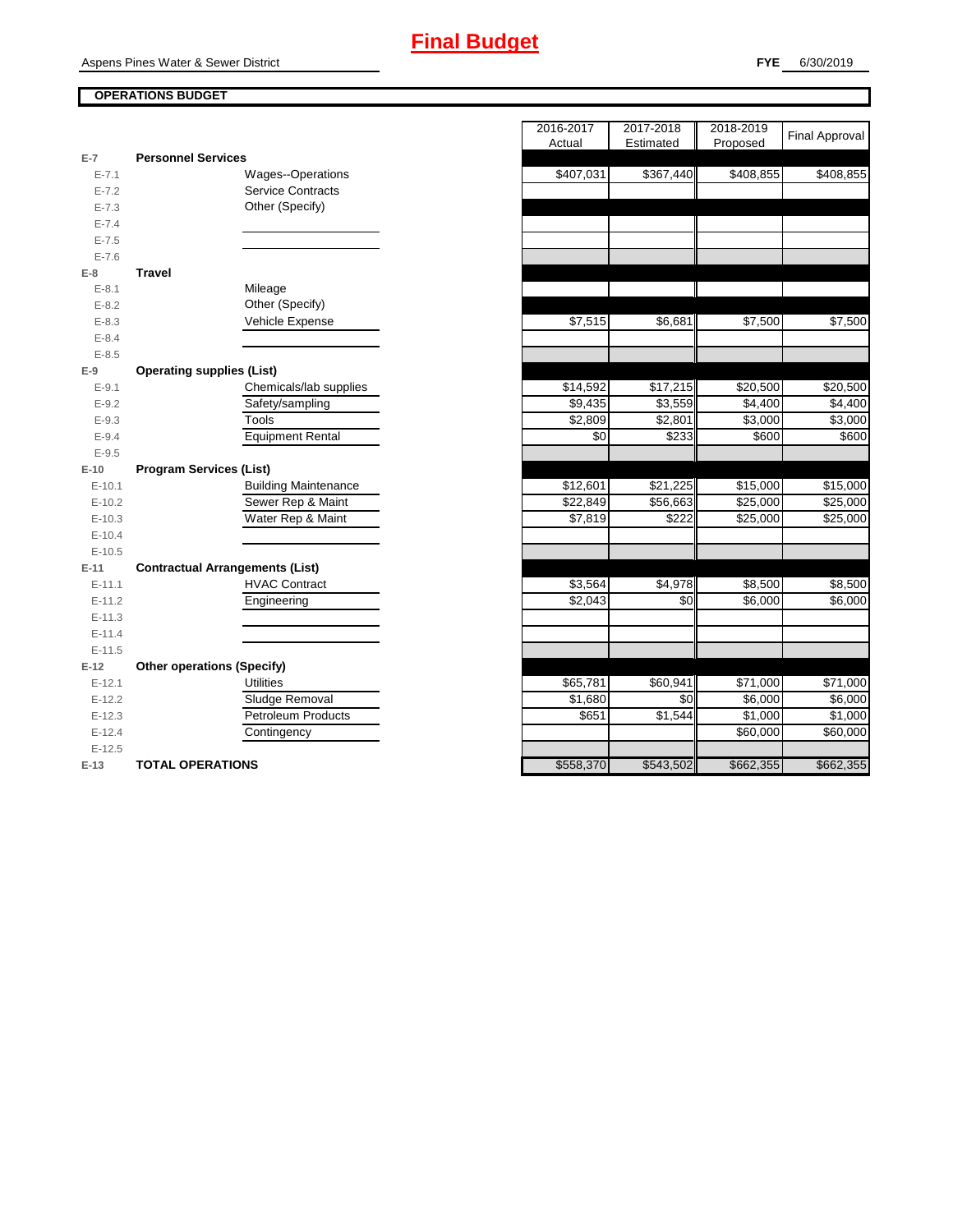## **OPERATIONS BUDGET**

| $E-7$      | <b>Personnel Services</b>              |
|------------|----------------------------------------|
| $E - 7.1$  | <b>Wages--Operations</b>               |
| $E - 7.2$  | <b>Service Contracts</b>               |
| $E - 7.3$  | Other (Specify)                        |
| $E - 7.4$  |                                        |
| $E - 7.5$  |                                        |
| $E - 7.6$  |                                        |
| $E-8$      | Travel                                 |
| $E - 8.1$  | Mileage                                |
| $E - 8.2$  | Other (Specify)                        |
| $E - 8.3$  | Vehicle Expense                        |
| $E - 8.4$  |                                        |
| $E - 8.5$  |                                        |
| E-9        | <b>Operating supplies (List)</b>       |
| $E - 9.1$  | Chemicals/lab supplies                 |
| $E - 9.2$  | Safety/sampling                        |
| $E - 9.3$  | Tools                                  |
| $E - 9.4$  | <b>Equipment Rental</b>                |
| $E - 9.5$  |                                        |
| $E-10$     | <b>Program Services (List)</b>         |
| $E - 10.1$ | <b>Building Maintenance</b>            |
| $E-10.2$   | Sewer Rep & Maint                      |
| $E-10.3$   | Water Rep & Maint                      |
| $E - 10.4$ |                                        |
| $E-10.5$   |                                        |
| E-11       | <b>Contractual Arrangements (List)</b> |
| $E - 11.1$ | <b>HVAC Contract</b>                   |
| $E-11.2$   | Engineering                            |
| $E - 11.3$ |                                        |
| $E - 11.4$ |                                        |
| $E-11.5$   |                                        |
| E-12       | <b>Other operations (Specify)</b>      |
| $E-12.1$   | <b>Utilities</b>                       |
| $E-12.2$   | Sludge Removal                         |
| $E-12.3$   | <b>Petroleum Products</b>              |
| $E-12.4$   | Contingency                            |
| $E-12.5$   |                                        |
|            |                                        |

|           |                                        | 2016-2017 | 2017-2018            | 2018-2019 | <b>Final Approval</b> |
|-----------|----------------------------------------|-----------|----------------------|-----------|-----------------------|
| 7         | <b>Personnel Services</b>              | Actual    | Estimated            | Proposed  |                       |
| $E - 7.1$ | <b>Wages--Operations</b>               | \$407,031 | \$367,440            | \$408,855 | \$408,855             |
| $E - 7.2$ | <b>Service Contracts</b>               |           |                      |           |                       |
| $E - 7.3$ | Other (Specify)                        |           |                      |           |                       |
| $E - 7.4$ |                                        |           |                      |           |                       |
| $E - 7.5$ |                                        |           |                      |           |                       |
| $E - 7.6$ |                                        |           |                      |           |                       |
| 8         | <b>Travel</b>                          |           |                      |           |                       |
| $E-8.1$   | Mileage                                |           |                      |           |                       |
| $E-8.2$   | Other (Specify)                        |           |                      |           |                       |
| $E - 8.3$ | Vehicle Expense                        | \$7,515   | \$6,681              | \$7,500   | \$7,500               |
| $E - 8.4$ |                                        |           |                      |           |                       |
| $E-8.5$   |                                        |           |                      |           |                       |
| 9         | <b>Operating supplies (List)</b>       |           |                      |           |                       |
| $E - 9.1$ | Chemicals/lab supplies                 | \$14,592  | $\overline{$17,215}$ | \$20,500  | \$20,500              |
| $E-9.2$   | Safety/sampling                        | \$9,435   | \$3,559              | \$4,400   | \$4,400               |
| $E-9.3$   | Tools                                  | \$2,809   | \$2,801              | \$3,000   | \$3,000               |
| $E-9.4$   | <b>Equipment Rental</b>                | \$0       | \$233                | \$600     | \$600                 |
| $E-9.5$   |                                        |           |                      |           |                       |
| 10        | <b>Program Services (List)</b>         |           |                      |           |                       |
| $E-10.1$  | <b>Building Maintenance</b>            | \$12,601  | \$21,225             | \$15,000  | \$15,000              |
| $E-10.2$  | Sewer Rep & Maint                      | \$22,849  | \$56,663             | \$25,000  | \$25,000              |
| $E-10.3$  | Water Rep & Maint                      | \$7,819   | \$222                | \$25,000  | \$25,000              |
| $E-10.4$  |                                        |           |                      |           |                       |
| $E-10.5$  |                                        |           |                      |           |                       |
| 11        | <b>Contractual Arrangements (List)</b> |           |                      |           |                       |
| $E-11.1$  | <b>HVAC Contract</b>                   | \$3,564   | \$4,978              | \$8,500   | \$8,500               |
| $E-11.2$  | Engineering                            | \$2,043   | \$0                  | \$6,000   | \$6,000               |
| $E-11.3$  |                                        |           |                      |           |                       |
| $E-11.4$  |                                        |           |                      |           |                       |
| $E-11.5$  |                                        |           |                      |           |                       |
| 12        | <b>Other operations (Specify)</b>      |           |                      |           |                       |
| $E-12.1$  | <b>Utilities</b>                       | \$65,781  | \$60,941             | \$71,000  | \$71,000              |
| $E-12.2$  | Sludge Removal                         | \$1,680   | \$0                  | \$6,000   | \$6,000               |
| $E-12.3$  | <b>Petroleum Products</b>              | \$651     | \$1,544              | \$1,000   | \$1,000               |
| $E-12.4$  | Contingency                            |           |                      | \$60,000  | \$60,000              |
| $E-12.5$  |                                        |           |                      |           |                       |
| 13        | <b>TOTAL OPERATIONS</b>                | \$558,370 | \$543,502            | \$662,355 | \$662,355             |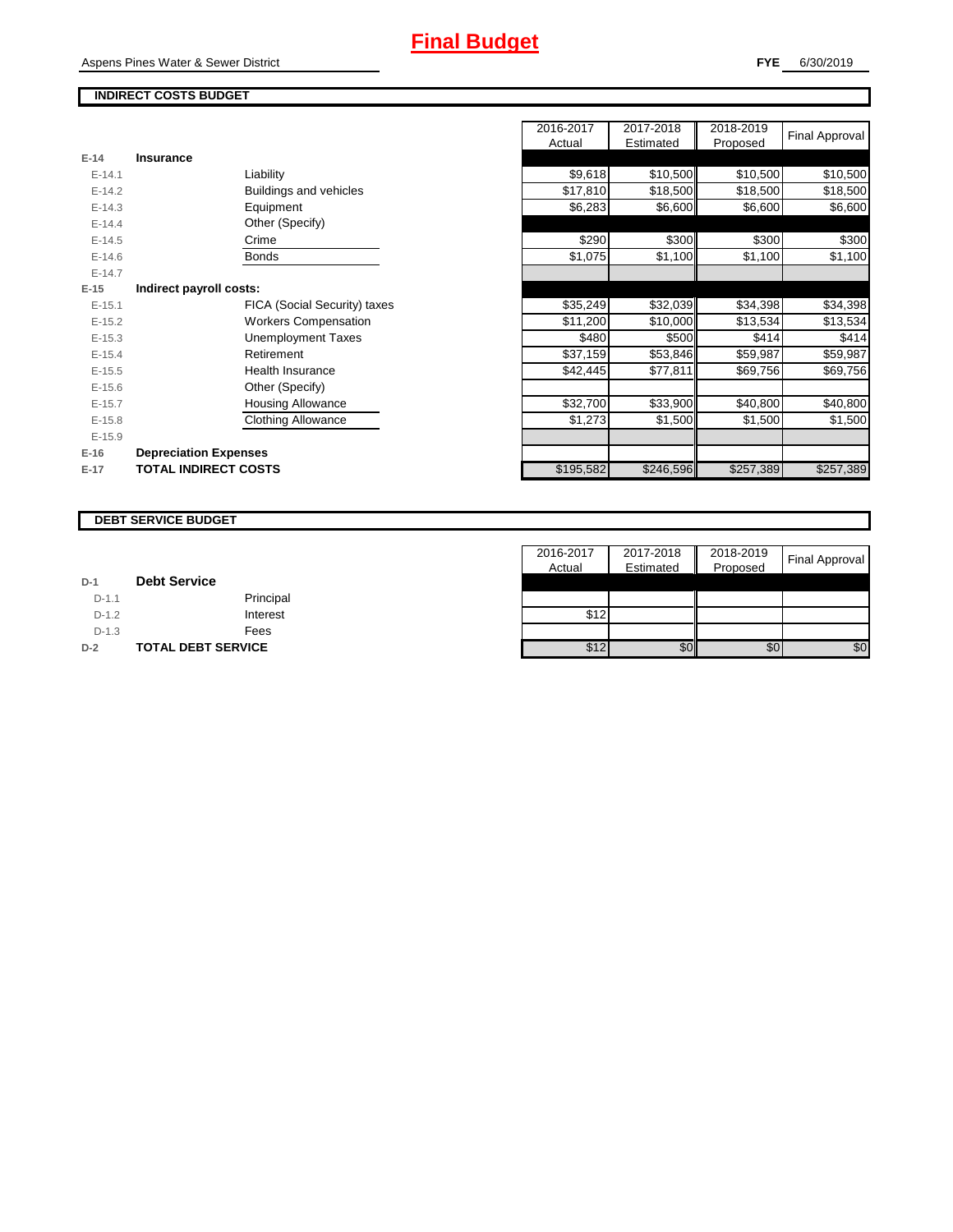## **INDIRECT COSTS BUDGET**

|            |                              | Actual    | Estimated | Proposed  | ι πιαι πρρισναι |
|------------|------------------------------|-----------|-----------|-----------|-----------------|
| $E-14$     | <b>Insurance</b>             |           |           |           |                 |
| $E-14.1$   | Liability                    | \$9,618   | \$10,500  | \$10,500  | \$10,500        |
| $E-14.2$   | Buildings and vehicles       | \$17,810  | \$18,500  | \$18,500  | \$18,500        |
| $E-14.3$   | Equipment                    | \$6,283   | \$6,600   | \$6,600   | \$6,600         |
| $E-14.4$   | Other (Specify)              |           |           |           |                 |
| $E-14.5$   | Crime                        | \$290     | \$300     | \$300     | \$300           |
| $E - 14.6$ | Bonds                        | \$1,075   | \$1,100   | \$1,100   | \$1,100         |
| $E-14.7$   |                              |           |           |           |                 |
| $E-15$     | Indirect payroll costs:      |           |           |           |                 |
| $E-15.1$   | FICA (Social Security) taxes | \$35,249  | \$32,039  | \$34,398  | \$34,398        |
| $E-15.2$   | <b>Workers Compensation</b>  | \$11,200  | \$10,000  | \$13,534  | \$13,534        |
| $E-15.3$   | Unemployment Taxes           | \$480     | \$500     | \$414     | \$414           |
| $E-15.4$   | Retirement                   | \$37,159  | \$53,846  | \$59,987  | \$59,987        |
| $E-15.5$   | <b>Health Insurance</b>      | \$42,445  | \$77,811  | \$69,756  | \$69,756        |
| $E-15.6$   | Other (Specify)              |           |           |           |                 |
| $E-15.7$   | <b>Housing Allowance</b>     | \$32,700  | \$33,900  | \$40,800  | \$40,800        |
| $E-15.8$   | <b>Clothing Allowance</b>    | \$1,273   | \$1,500   | \$1,500   | \$1,500         |
| $E-15.9$   |                              |           |           |           |                 |
| E-16       | <b>Depreciation Expenses</b> |           |           |           |                 |
| E-17       | <b>TOTAL INDIRECT COSTS</b>  | \$195,582 | \$246,596 | \$257,389 | \$257,389       |
|            |                              |           |           |           |                 |

| 2016-2017 | 2017-2018 | 2018-2019 | <b>Final Approval</b> |
|-----------|-----------|-----------|-----------------------|
| Actual    | Estimated | Proposed  |                       |
|           |           |           |                       |
| \$9,618   | \$10,500  | \$10,500  | \$10,500              |
| \$17,810  | \$18,500  | \$18,500  | \$18,500              |
| \$6,283   | \$6,600   | \$6,600   | \$6,600               |
|           |           |           |                       |
| \$290     | \$300     | \$300     | \$300                 |
| \$1,075   | \$1,100   | \$1,100   | \$1,100               |
|           |           |           |                       |
|           |           |           |                       |
| \$35,249  | \$32,039  | \$34,398  | \$34,398              |
| \$11,200  | \$10,000  | \$13,534  | \$13,534              |
| \$480     | \$500     | \$414     | \$414                 |
| \$37,159  | \$53,846  | \$59,987  | \$59,987              |
| \$42,445  | \$77,811  | \$69,756  | \$69,756              |
|           |           |           |                       |
| \$32,700  | \$33,900  | \$40,800  | \$40,800              |
| \$1,273   | \$1,500   | \$1,500   | \$1,500               |
|           |           |           |                       |
|           |           |           |                       |
| \$195,582 | \$246,596 | \$257,389 | \$257,389             |

#### **DEBT SERVICE BUDGET**

|         |                           | 2016-2017 | H<br>2017-2018 | 2018-2019 | <b>Final Approval</b> |
|---------|---------------------------|-----------|----------------|-----------|-----------------------|
|         |                           | Actual    | Estimated      | Proposed  |                       |
| $D-1$   | <b>Debt Service</b>       |           |                |           |                       |
| $D-1.1$ | Principal                 |           |                |           |                       |
| $D-1.2$ | Interest                  | \$12      |                |           |                       |
| $D-1.3$ | Fees                      |           |                |           |                       |
| $D-2$   | <b>TOTAL DEBT SERVICE</b> | \$12      | \$0            | \$0       | \$0                   |